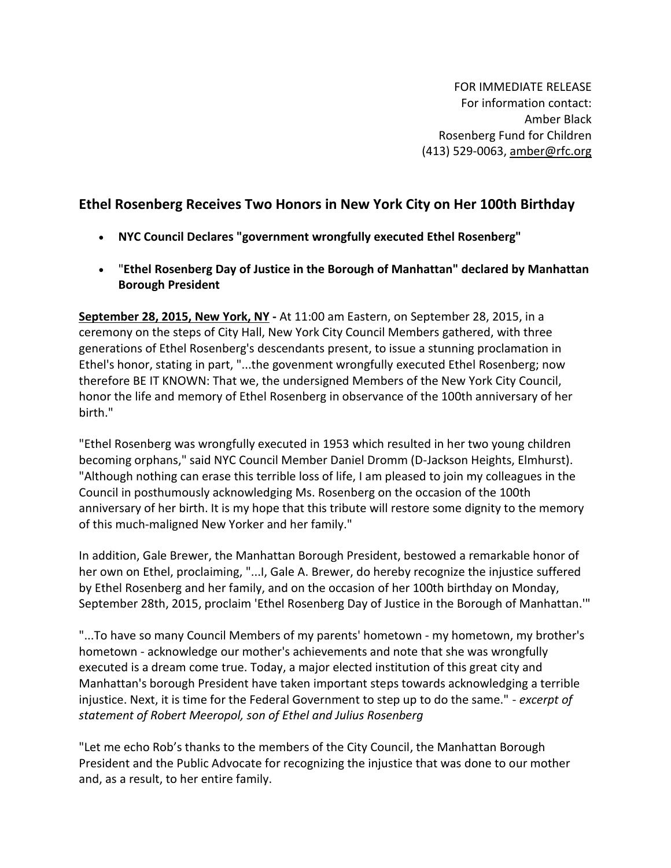FOR IMMEDIATE RELEASE For information contact: Amber Black Rosenberg Fund for Children (413) 529-0063, [amber@rfc.org](mailto:amber@rfc.org)

## **Ethel Rosenberg Receives Two Honors in New York City on Her 100th Birthday**

- **NYC Council Declares "government wrongfully executed Ethel Rosenberg"**
- "**Ethel Rosenberg Day of Justice in the Borough of Manhattan" declared by Manhattan Borough President**

**September 28, 2015, New York, NY -** At 11:00 am Eastern, on September 28, 2015, in a ceremony on the steps of City Hall, New York City Council Members gathered, with three generations of Ethel Rosenberg's descendants present, to issue a stunning proclamation in Ethel's honor, stating in part, "...the govenment wrongfully executed Ethel Rosenberg; now therefore BE IT KNOWN: That we, the undersigned Members of the New York City Council, honor the life and memory of Ethel Rosenberg in observance of the 100th anniversary of her birth."

"Ethel Rosenberg was wrongfully executed in 1953 which resulted in her two young children becoming orphans," said NYC Council Member Daniel Dromm (D-Jackson Heights, Elmhurst). "Although nothing can erase this terrible loss of life, I am pleased to join my colleagues in the Council in posthumously acknowledging Ms. Rosenberg on the occasion of the 100th anniversary of her birth. It is my hope that this tribute will restore some dignity to the memory of this much-maligned New Yorker and her family."

In addition, Gale Brewer, the Manhattan Borough President, bestowed a remarkable honor of her own on Ethel, proclaiming, "...I, Gale A. Brewer, do hereby recognize the injustice suffered by Ethel Rosenberg and her family, and on the occasion of her 100th birthday on Monday, September 28th, 2015, proclaim 'Ethel Rosenberg Day of Justice in the Borough of Manhattan.'"

"...To have so many Council Members of my parents' hometown - my hometown, my brother's hometown - acknowledge our mother's achievements and note that she was wrongfully executed is a dream come true. Today, a major elected institution of this great city and Manhattan's borough President have taken important steps towards acknowledging a terrible injustice. Next, it is time for the Federal Government to step up to do the same." - *excerpt of statement of Robert Meeropol, son of Ethel and Julius Rosenberg*

"Let me echo Rob's thanks to the members of the City Council, the Manhattan Borough President and the Public Advocate for recognizing the injustice that was done to our mother and, as a result, to her entire family.